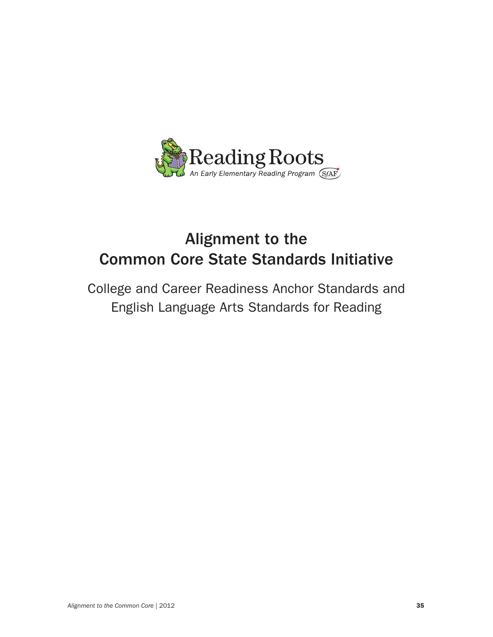

# Alignment to the Common Core State Standards Initiative

College and Career Readiness Anchor Standards and English Language Arts Standards for Reading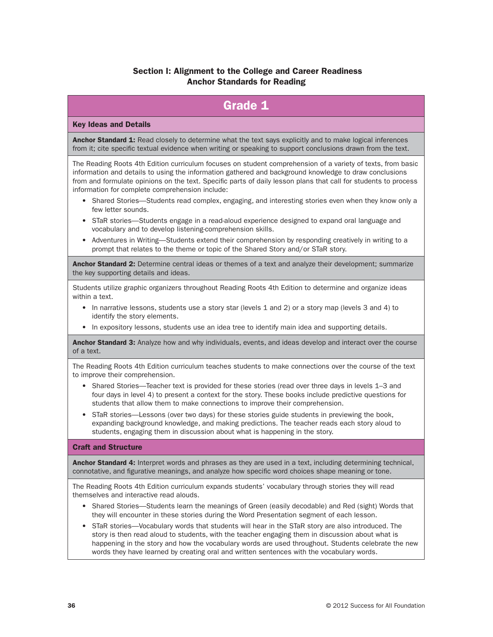# Section I: Alignment to the College and Career Readiness Anchor Standards for Reading

# Grade 1

#### Key Ideas and Details

Anchor Standard 1: Read closely to determine what the text says explicitly and to make logical inferences from it; cite specific textual evidence when writing or speaking to support conclusions drawn from the text.

The Reading Roots 4th Edition curriculum focuses on student comprehension of a variety of texts, from basic information and details to using the information gathered and background knowledge to draw conclusions from and formulate opinions on the text. Specific parts of daily lesson plans that call for students to process information for complete comprehension include:

- Shared Stories—Students read complex, engaging, and interesting stories even when they know only a few letter sounds.
- STaR stories—Students engage in a read-aloud experience designed to expand oral language and vocabulary and to develop listening-comprehension skills.
- Adventures in Writing—Students extend their comprehension by responding creatively in writing to a prompt that relates to the theme or topic of the Shared Story and/or STaR story.

Anchor Standard 2: Determine central ideas or themes of a text and analyze their development; summarize the key supporting details and ideas.

Students utilize graphic organizers throughout Reading Roots 4th Edition to determine and organize ideas within a text.

- In narrative lessons, students use a story star (levels 1 and 2) or a story map (levels 3 and 4) to identify the story elements.
- In expository lessons, students use an idea tree to identify main idea and supporting details.

Anchor Standard 3: Analyze how and why individuals, events, and ideas develop and interact over the course of a text.

The Reading Roots 4th Edition curriculum teaches students to make connections over the course of the text to improve their comprehension.

- Shared Stories—Teacher text is provided for these stories (read over three days in levels 1–3 and four days in level 4) to present a context for the story. These books include predictive questions for students that allow them to make connections to improve their comprehension.
- STaR stories—Lessons (over two days) for these stories guide students in previewing the book, expanding background knowledge, and making predictions. The teacher reads each story aloud to students, engaging them in discussion about what is happening in the story.

#### Craft and Structure

Anchor Standard 4: Interpret words and phrases as they are used in a text, including determining technical, connotative, and figurative meanings, and analyze how specific word choices shape meaning or tone.

The Reading Roots 4th Edition curriculum expands students' vocabulary through stories they will read themselves and interactive read alouds.

- Shared Stories—Students learn the meanings of Green (easily decodable) and Red (sight) Words that they will encounter in these stories during the Word Presentation segment of each lesson.
- STaR stories—Vocabulary words that students will hear in the STaR story are also introduced. The story is then read aloud to students, with the teacher engaging them in discussion about what is happening in the story and how the vocabulary words are used throughout. Students celebrate the new words they have learned by creating oral and written sentences with the vocabulary words.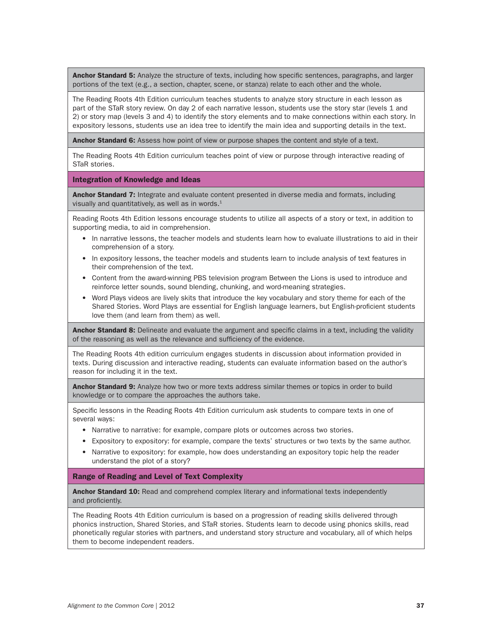Anchor Standard 5: Analyze the structure of texts, including how specific sentences, paragraphs, and larger portions of the text (e.g., a section, chapter, scene, or stanza) relate to each other and the whole.

The Reading Roots 4th Edition curriculum teaches students to analyze story structure in each lesson as part of the STaR story review. On day 2 of each narrative lesson, students use the story star (levels 1 and 2) or story map (levels 3 and 4) to identify the story elements and to make connections within each story. In expository lessons, students use an idea tree to identify the main idea and supporting details in the text.

Anchor Standard 6: Assess how point of view or purpose shapes the content and style of a text.

The Reading Roots 4th Edition curriculum teaches point of view or purpose through interactive reading of STaR stories.

Integration of Knowledge and Ideas

Anchor Standard 7: Integrate and evaluate content presented in diverse media and formats, including visually and quantitatively, as well as in words. $<sup>1</sup>$ </sup>

Reading Roots 4th Edition lessons encourage students to utilize all aspects of a story or text, in addition to supporting media, to aid in comprehension.

- In narrative lessons, the teacher models and students learn how to evaluate illustrations to aid in their comprehension of a story.
- In expository lessons, the teacher models and students learn to include analysis of text features in their comprehension of the text.
- Content from the award-winning PBS television program Between the Lions is used to introduce and reinforce letter sounds, sound blending, chunking, and word-meaning strategies.
- Word Plays videos are lively skits that introduce the key vocabulary and story theme for each of the Shared Stories. Word Plays are essential for English language learners, but English-proficient students love them (and learn from them) as well.

Anchor Standard 8: Delineate and evaluate the argument and specific claims in a text, including the validity of the reasoning as well as the relevance and sufficiency of the evidence.

The Reading Roots 4th edition curriculum engages students in discussion about information provided in texts. During discussion and interactive reading, students can evaluate information based on the author's reason for including it in the text.

**Anchor Standard 9:** Analyze how two or more texts address similar themes or topics in order to build knowledge or to compare the approaches the authors take.

Specific lessons in the Reading Roots 4th Edition curriculum ask students to compare texts in one of several ways:

- Narrative to narrative: for example, compare plots or outcomes across two stories.
- Expository to expository: for example, compare the texts' structures or two texts by the same author.
- Narrative to expository: for example, how does understanding an expository topic help the reader understand the plot of a story?

Range of Reading and Level of Text Complexity

Anchor Standard 10: Read and comprehend complex literary and informational texts independently and proficiently.

The Reading Roots 4th Edition curriculum is based on a progression of reading skills delivered through phonics instruction, Shared Stories, and STaR stories. Students learn to decode using phonics skills, read phonetically regular stories with partners, and understand story structure and vocabulary, all of which helps them to become independent readers.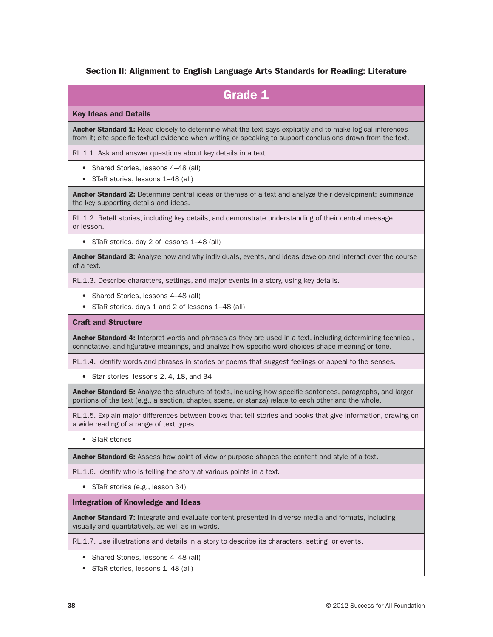### Section II: Alignment to English Language Arts Standards for Reading: Literature

| <b>Grade 1</b>                                                                                                                                                                                                            |
|---------------------------------------------------------------------------------------------------------------------------------------------------------------------------------------------------------------------------|
| <b>Key Ideas and Details</b>                                                                                                                                                                                              |
| Anchor Standard 1: Read closely to determine what the text says explicitly and to make logical inferences<br>from it; cite specific textual evidence when writing or speaking to support conclusions drawn from the text. |
| RL.1.1. Ask and answer questions about key details in a text.                                                                                                                                                             |
| Shared Stories, lessons 4-48 (all)<br>$\bullet$<br>STaR stories, lessons 1-48 (all)<br>٠                                                                                                                                  |
| Anchor Standard 2: Determine central ideas or themes of a text and analyze their development; summarize<br>the key supporting details and ideas.                                                                          |
| RL.1.2. Retell stories, including key details, and demonstrate understanding of their central message<br>or lesson.                                                                                                       |
| • STaR stories, day 2 of lessons 1-48 (all)                                                                                                                                                                               |
| Anchor Standard 3: Analyze how and why individuals, events, and ideas develop and interact over the course<br>of a text.                                                                                                  |
| RL.1.3. Describe characters, settings, and major events in a story, using key details.                                                                                                                                    |
| • Shared Stories, lessons 4-48 (all)<br>STaR stories, days 1 and 2 of lessons 1-48 (all)                                                                                                                                  |
| <b>Craft and Structure</b>                                                                                                                                                                                                |
| Anchor Standard 4: Interpret words and phrases as they are used in a text, including determining technical,<br>connotative, and figurative meanings, and analyze how specific word choices shape meaning or tone.         |
| RL.1.4. Identify words and phrases in stories or poems that suggest feelings or appeal to the senses.                                                                                                                     |
| Star stories, lessons 2, 4, 18, and 34<br>$\bullet$                                                                                                                                                                       |
| Anchor Standard 5: Analyze the structure of texts, including how specific sentences, paragraphs, and larger<br>portions of the text (e.g., a section, chapter, scene, or stanza) relate to each other and the whole.      |
| RL.1.5. Explain major differences between books that tell stories and books that give information, drawing on<br>a wide reading of a range of text types.                                                                 |
| • STaR stories                                                                                                                                                                                                            |
| Anchor Standard 6: Assess how point of view or purpose shapes the content and style of a text.                                                                                                                            |
| RL.1.6. Identify who is telling the story at various points in a text.                                                                                                                                                    |
| STaR stories (e.g., lesson 34)<br>$\bullet$                                                                                                                                                                               |
| <b>Integration of Knowledge and Ideas</b>                                                                                                                                                                                 |
| Anchor Standard 7: Integrate and evaluate content presented in diverse media and formats, including<br>visually and quantitatively, as well as in words.                                                                  |
| RL.1.7. Use illustrations and details in a story to describe its characters, setting, or events.                                                                                                                          |

- Shared Stories, lessons 4–48 (all)
- STaR stories, lessons 1–48 (all)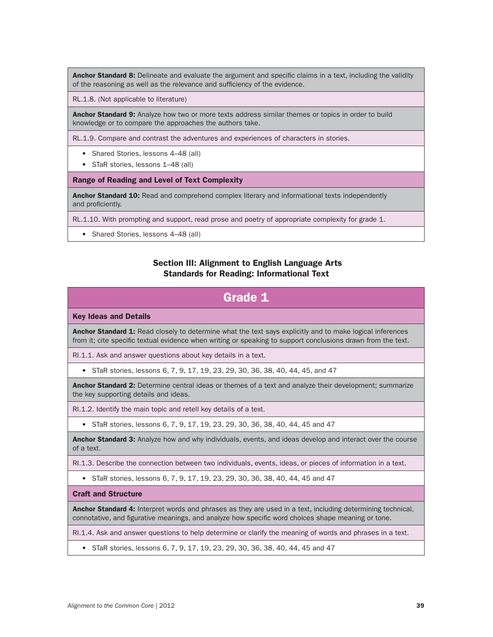Anchor Standard 8: Delineate and evaluate the argument and specific claims in a text, including the validity of the reasoning as well as the relevance and sufficiency of the evidence.

RL.1.8. (Not applicable to literature)

Anchor Standard 9: Analyze how two or more texts address similar themes or topics in order to build knowledge or to compare the approaches the authors take.

RL.1.9. Compare and contrast the adventures and experiences of characters in stories.

- Shared Stories, lessons 4–48 (all)
- STaR stories, lessons 1–48 (all)

Range of Reading and Level of Text Complexity

Anchor Standard 10: Read and comprehend complex literary and informational texts independently and proficiently.

RL.1.10. With prompting and support, read prose and poetry of appropriate complexity for grade 1.

• Shared Stories, lessons 4–48 (all)

### Section III: Alignment to English Language Arts Standards for Reading: Informational Text

# Grade 1

#### Key Ideas and Details

Anchor Standard 1: Read closely to determine what the text says explicitly and to make logical inferences from it; cite specific textual evidence when writing or speaking to support conclusions drawn from the text.

RI.1.1. Ask and answer questions about key details in a text.

• STaR stories, lessons 6, 7, 9, 17, 19, 23, 29, 30, 36, 38, 40, 44, 45, and 47

Anchor Standard 2: Determine central ideas or themes of a text and analyze their development; summarize the key supporting details and ideas.

RI.1.2. Identify the main topic and retell key details of a text.

• STaR stories, lessons 6, 7, 9, 17, 19, 23, 29, 30, 36, 38, 40, 44, 45 and 47

Anchor Standard 3: Analyze how and why individuals, events, and ideas develop and interact over the course of a text.

RI.1.3. Describe the connection between two individuals, events, ideas, or pieces of information in a text.

• STaR stories, lessons 6, 7, 9, 17, 19, 23, 29, 30, 36, 38, 40, 44, 45 and 47

#### Craft and Structure

Anchor Standard 4: Interpret words and phrases as they are used in a text, including determining technical, connotative, and figurative meanings, and analyze how specific word choices shape meaning or tone.

RI.1.4. Ask and answer questions to help determine or clarify the meaning of words and phrases in a text.

• STaR stories, lessons 6, 7, 9, 17, 19, 23, 29, 30, 36, 38, 40, 44, 45 and 47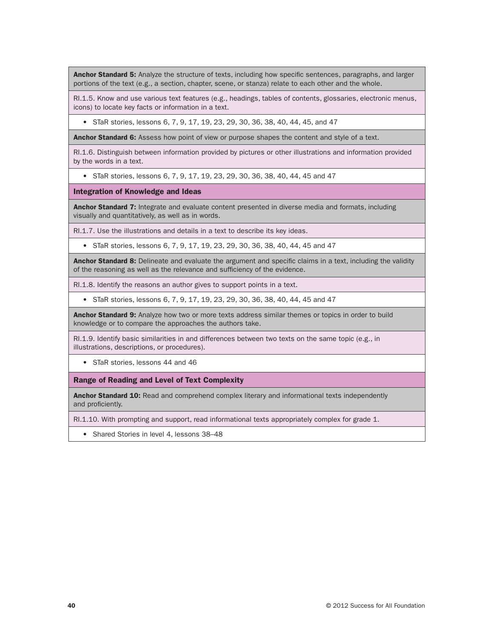Anchor Standard 5: Analyze the structure of texts, including how specific sentences, paragraphs, and larger portions of the text (e.g., a section, chapter, scene, or stanza) relate to each other and the whole.

RI.1.5. Know and use various text features (e.g., headings, tables of contents, glossaries, electronic menus, icons) to locate key facts or information in a text.

• STaR stories, lessons 6, 7, 9, 17, 19, 23, 29, 30, 36, 38, 40, 44, 45, and 47

Anchor Standard 6: Assess how point of view or purpose shapes the content and style of a text.

RI.1.6. Distinguish between information provided by pictures or other illustrations and information provided by the words in a text.

• STaR stories, lessons 6, 7, 9, 17, 19, 23, 29, 30, 36, 38, 40, 44, 45 and 47

Integration of Knowledge and Ideas

Anchor Standard 7: Integrate and evaluate content presented in diverse media and formats, including visually and quantitatively, as well as in words.

RI.1.7. Use the illustrations and details in a text to describe its key ideas.

• STaR stories, lessons 6, 7, 9, 17, 19, 23, 29, 30, 36, 38, 40, 44, 45 and 47

Anchor Standard 8: Delineate and evaluate the argument and specific claims in a text, including the validity of the reasoning as well as the relevance and sufficiency of the evidence.

RI.1.8. Identify the reasons an author gives to support points in a text.

• STaR stories, lessons 6, 7, 9, 17, 19, 23, 29, 30, 36, 38, 40, 44, 45 and 47

Anchor Standard 9: Analyze how two or more texts address similar themes or topics in order to build knowledge or to compare the approaches the authors take.

RI.1.9. Identify basic similarities in and differences between two texts on the same topic (e.g., in illustrations, descriptions, or procedures).

• STaR stories, lessons 44 and 46

Range of Reading and Level of Text Complexity

Anchor Standard 10: Read and comprehend complex literary and informational texts independently and proficiently.

RI.1.10. With prompting and support, read informational texts appropriately complex for grade 1.

• Shared Stories in level 4, lessons 38–48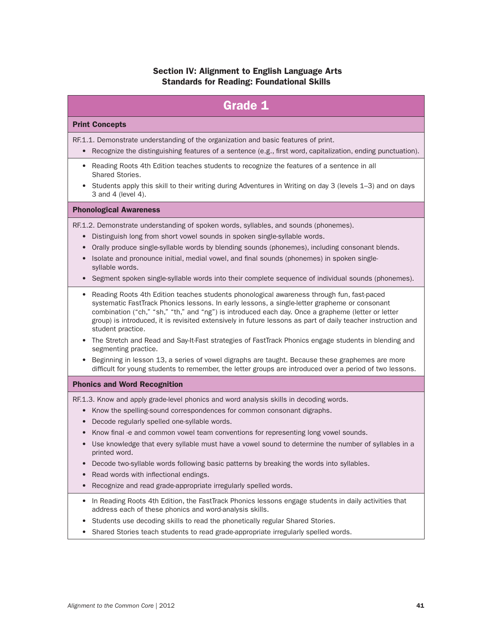# Section IV: Alignment to English Language Arts Standards for Reading: Foundational Skills

| <b>Grade 1</b>                                                                                                                                                                                                                                                                                                                                                                                                                                                                                                                                                                                                                                                                                                                     |
|------------------------------------------------------------------------------------------------------------------------------------------------------------------------------------------------------------------------------------------------------------------------------------------------------------------------------------------------------------------------------------------------------------------------------------------------------------------------------------------------------------------------------------------------------------------------------------------------------------------------------------------------------------------------------------------------------------------------------------|
| <b>Print Concepts</b>                                                                                                                                                                                                                                                                                                                                                                                                                                                                                                                                                                                                                                                                                                              |
| RF.1.1. Demonstrate understanding of the organization and basic features of print.<br>Recognize the distinguishing features of a sentence (e.g., first word, capitalization, ending punctuation).<br>$\bullet$                                                                                                                                                                                                                                                                                                                                                                                                                                                                                                                     |
| • Reading Roots 4th Edition teaches students to recognize the features of a sentence in all<br>Shared Stories.<br>Students apply this skill to their writing during Adventures in Writing on day 3 (levels 1-3) and on days<br>$\bullet$<br>3 and 4 (level 4).                                                                                                                                                                                                                                                                                                                                                                                                                                                                     |
| <b>Phonological Awareness</b>                                                                                                                                                                                                                                                                                                                                                                                                                                                                                                                                                                                                                                                                                                      |
| RF.1.2. Demonstrate understanding of spoken words, syllables, and sounds (phonemes).<br>Distinguish long from short vowel sounds in spoken single-syllable words.<br>$\bullet$<br>Orally produce single-syllable words by blending sounds (phonemes), including consonant blends.<br>Isolate and pronounce initial, medial vowel, and final sounds (phonemes) in spoken single-<br>$\bullet$<br>syllable words.<br>Segment spoken single-syllable words into their complete sequence of individual sounds (phonemes).<br>$\bullet$                                                                                                                                                                                                 |
| • Reading Roots 4th Edition teaches students phonological awareness through fun, fast-paced<br>systematic FastTrack Phonics lessons. In early lessons, a single-letter grapheme or consonant<br>combination ("ch," "sh," "th," and "ng") is introduced each day. Once a grapheme (letter or letter<br>group) is introduced, it is revisited extensively in future lessons as part of daily teacher instruction and<br>student practice.<br>The Stretch and Read and Say-It-Fast strategies of FastTrack Phonics engage students in blending and<br>segmenting practice.<br>Beginning in lesson 13, a series of vowel digraphs are taught. Because these graphemes are more<br>$\bullet$                                            |
| difficult for young students to remember, the letter groups are introduced over a period of two lessons.                                                                                                                                                                                                                                                                                                                                                                                                                                                                                                                                                                                                                           |
| <b>Phonics and Word Recognition</b><br>RF.1.3. Know and apply grade-level phonics and word analysis skills in decoding words.<br>Know the spelling-sound correspondences for common consonant digraphs.<br>Decode regularly spelled one-syllable words.<br>$\bullet$<br>Know final -e and common vowel team conventions for representing long vowel sounds.<br>$\bullet$<br>Use knowledge that every syllable must have a vowel sound to determine the number of syllables in a<br>printed word.<br>Decode two-syllable words following basic patterns by breaking the words into syllables.<br>$\bullet$<br>Read words with inflectional endings.<br>Recognize and read grade-appropriate irregularly spelled words.<br>$\bullet$ |
| In Reading Roots 4th Edition, the FastTrack Phonics lessons engage students in daily activities that<br>٠<br>address each of these phonics and word-analysis skills.                                                                                                                                                                                                                                                                                                                                                                                                                                                                                                                                                               |

- Students use decoding skills to read the phonetically regular Shared Stories.
- Shared Stories teach students to read grade-appropriate irregularly spelled words.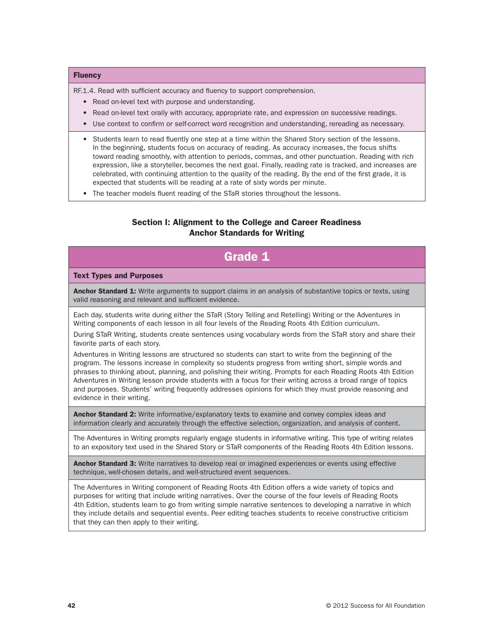#### **Fluency**

RF.1.4. Read with sufficient accuracy and fluency to support comprehension.

- Read on-level text with purpose and understanding.
- Read on-level text orally with accuracy, appropriate rate, and expression on successive readings.
- Use context to confirm or self-correct word recognition and understanding, rereading as necessary.
- Students learn to read fluently one step at a time within the Shared Story section of the lessons. In the beginning, students focus on accuracy of reading. As accuracy increases, the focus shifts toward reading smoothly, with attention to periods, commas, and other punctuation. Reading with rich expression, like a storyteller, becomes the next goal. Finally, reading rate is tracked, and increases are celebrated, with continuing attention to the quality of the reading. By the end of the first grade, it is expected that students will be reading at a rate of sixty words per minute.
- The teacher models fluent reading of the STaR stories throughout the lessons.

### Section I: Alignment to the College and Career Readiness Anchor Standards for Writing

# Grade 1

#### Text Types and Purposes

Anchor Standard 1: Write arguments to support claims in an analysis of substantive topics or texts, using valid reasoning and relevant and sufficient evidence.

Each day, students write during either the STaR (Story Telling and Retelling) Writing or the Adventures in Writing components of each lesson in all four levels of the Reading Roots 4th Edition curriculum.

During STaR Writing, students create sentences using vocabulary words from the STaR story and share their favorite parts of each story.

Adventures in Writing lessons are structured so students can start to write from the beginning of the program. The lessons increase in complexity so students progress from writing short, simple words and phrases to thinking about, planning, and polishing their writing. Prompts for each Reading Roots 4th Edition Adventures in Writing lesson provide students with a focus for their writing across a broad range of topics and purposes. Students' writing frequently addresses opinions for which they must provide reasoning and evidence in their writing.

**Anchor Standard 2:** Write informative/explanatory texts to examine and convey complex ideas and information clearly and accurately through the effective selection, organization, and analysis of content.

The Adventures in Writing prompts regularly engage students in informative writing. This type of writing relates to an expository text used in the Shared Story or STaR components of the Reading Roots 4th Edition lessons.

Anchor Standard 3: Write narratives to develop real or imagined experiences or events using effective technique, well-chosen details, and well-structured event sequences.

The Adventures in Writing component of Reading Roots 4th Edition offers a wide variety of topics and purposes for writing that include writing narratives. Over the course of the four levels of Reading Roots 4th Edition, students learn to go from writing simple narrative sentences to developing a narrative in which they include details and sequential events. Peer editing teaches students to receive constructive criticism that they can then apply to their writing.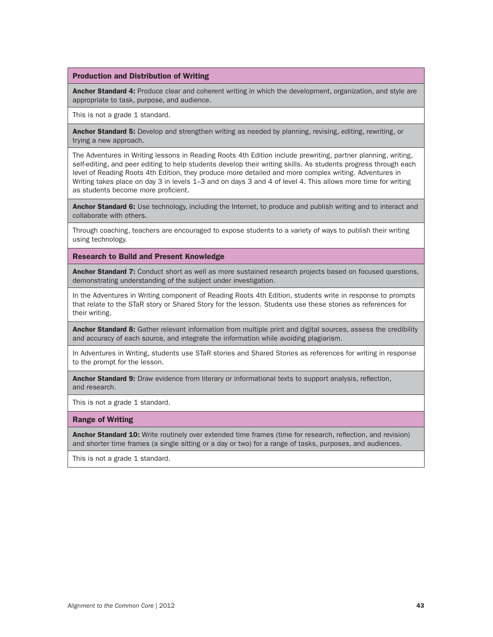#### Production and Distribution of Writing

Anchor Standard 4: Produce clear and coherent writing in which the development, organization, and style are appropriate to task, purpose, and audience.

This is not a grade 1 standard.

Anchor Standard 5: Develop and strengthen writing as needed by planning, revising, editing, rewriting, or trying a new approach.

The Adventures in Writing lessons in Reading Roots 4th Edition include prewriting, partner planning, writing, self-editing, and peer editing to help students develop their writing skills. As students progress through each level of Reading Roots 4th Edition, they produce more detailed and more complex writing. Adventures in Writing takes place on day 3 in levels 1–3 and on days 3 and 4 of level 4. This allows more time for writing as students become more proficient.

Anchor Standard 6: Use technology, including the Internet, to produce and publish writing and to interact and collaborate with others.

Through coaching, teachers are encouraged to expose students to a variety of ways to publish their writing using technology.

Research to Build and Present Knowledge

Anchor Standard 7: Conduct short as well as more sustained research projects based on focused questions, demonstrating understanding of the subject under investigation.

In the Adventures in Writing component of Reading Roots 4th Edition, students write in response to prompts that relate to the STaR story or Shared Story for the lesson. Students use these stories as references for their writing.

Anchor Standard 8: Gather relevant information from multiple print and digital sources, assess the credibility and accuracy of each source, and integrate the information while avoiding plagiarism.

In Adventures in Writing, students use STaR stories and Shared Stories as references for writing in response to the prompt for the lesson.

Anchor Standard 9: Draw evidence from literary or informational texts to support analysis, reflection, and research.

This is not a grade 1 standard.

#### Range of Writing

Anchor Standard 10: Write routinely over extended time frames (time for research, reflection, and revision) and shorter time frames (a single sitting or a day or two) for a range of tasks, purposes, and audiences.

This is not a grade 1 standard.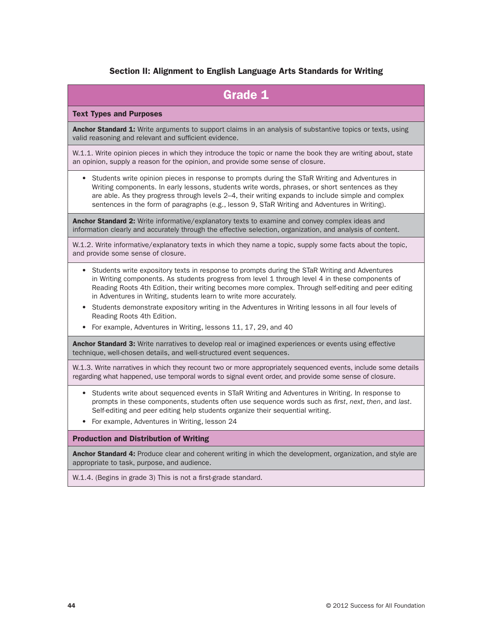# Section II: Alignment to English Language Arts Standards for Writing

| <b>Grade 1</b>                                                                                                                                                                                                                                                                                                                                                                                                                                                                                                                                                                                                              |
|-----------------------------------------------------------------------------------------------------------------------------------------------------------------------------------------------------------------------------------------------------------------------------------------------------------------------------------------------------------------------------------------------------------------------------------------------------------------------------------------------------------------------------------------------------------------------------------------------------------------------------|
| <b>Text Types and Purposes</b>                                                                                                                                                                                                                                                                                                                                                                                                                                                                                                                                                                                              |
| Anchor Standard 1: Write arguments to support claims in an analysis of substantive topics or texts, using<br>valid reasoning and relevant and sufficient evidence.                                                                                                                                                                                                                                                                                                                                                                                                                                                          |
| W.1.1. Write opinion pieces in which they introduce the topic or name the book they are writing about, state<br>an opinion, supply a reason for the opinion, and provide some sense of closure.                                                                                                                                                                                                                                                                                                                                                                                                                             |
| Students write opinion pieces in response to prompts during the STaR Writing and Adventures in<br>Writing components. In early lessons, students write words, phrases, or short sentences as they<br>are able. As they progress through levels 2-4, their writing expands to include simple and complex<br>sentences in the form of paragraphs (e.g., lesson 9, STaR Writing and Adventures in Writing).                                                                                                                                                                                                                    |
| Anchor Standard 2: Write informative/explanatory texts to examine and convey complex ideas and<br>information clearly and accurately through the effective selection, organization, and analysis of content.                                                                                                                                                                                                                                                                                                                                                                                                                |
| W.1.2. Write informative/explanatory texts in which they name a topic, supply some facts about the topic,<br>and provide some sense of closure.                                                                                                                                                                                                                                                                                                                                                                                                                                                                             |
| Students write expository texts in response to prompts during the STaR Writing and Adventures<br>$\bullet$<br>in Writing components. As students progress from level 1 through level 4 in these components of<br>Reading Roots 4th Edition, their writing becomes more complex. Through self-editing and peer editing<br>in Adventures in Writing, students learn to write more accurately.<br>Students demonstrate expository writing in the Adventures in Writing lessons in all four levels of<br>$\bullet$<br>Reading Roots 4th Edition.<br>For example, Adventures in Writing, lessons 11, 17, 29, and 40<br>$\bullet$ |
| Anchor Standard 3: Write narratives to develop real or imagined experiences or events using effective<br>technique, well-chosen details, and well-structured event sequences.                                                                                                                                                                                                                                                                                                                                                                                                                                               |
| W.1.3. Write narratives in which they recount two or more appropriately sequenced events, include some details<br>regarding what happened, use temporal words to signal event order, and provide some sense of closure.                                                                                                                                                                                                                                                                                                                                                                                                     |
| Students write about sequenced events in STaR Writing and Adventures in Writing. In response to<br>$\bullet$<br>prompts in these components, students often use sequence words such as first, next, then, and last.<br>Self-editing and peer editing help students organize their sequential writing.<br>For example, Adventures in Writing, lesson 24<br>$\bullet$                                                                                                                                                                                                                                                         |
| <b>Production and Distribution of Writing</b>                                                                                                                                                                                                                                                                                                                                                                                                                                                                                                                                                                               |
| Anchor Standard 4: Produce clear and coherent writing in which the development, organization, and style are<br>appropriate to task, purpose, and audience.                                                                                                                                                                                                                                                                                                                                                                                                                                                                  |
| W.1.4. (Begins in grade 3) This is not a first-grade standard.                                                                                                                                                                                                                                                                                                                                                                                                                                                                                                                                                              |
|                                                                                                                                                                                                                                                                                                                                                                                                                                                                                                                                                                                                                             |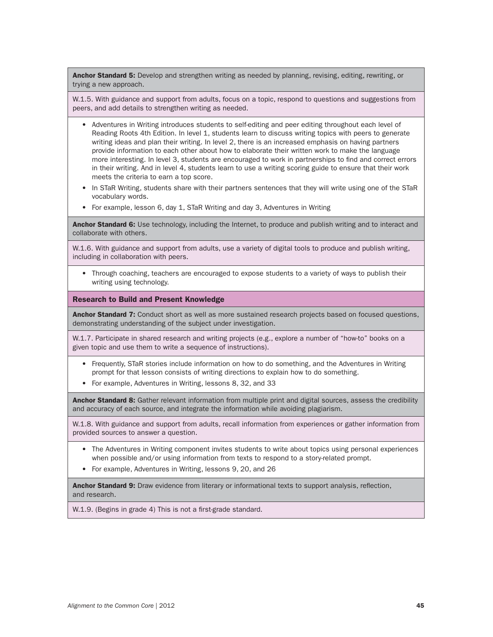Anchor Standard 5: Develop and strengthen writing as needed by planning, revising, editing, rewriting, or trying a new approach.

W.1.5. With guidance and support from adults, focus on a topic, respond to questions and suggestions from peers, and add details to strengthen writing as needed.

- Adventures in Writing introduces students to self-editing and peer editing throughout each level of Reading Roots 4th Edition. In level 1, students learn to discuss writing topics with peers to generate writing ideas and plan their writing. In level 2, there is an increased emphasis on having partners provide information to each other about how to elaborate their written work to make the language more interesting. In level 3, students are encouraged to work in partnerships to find and correct errors in their writing. And in level 4, students learn to use a writing scoring guide to ensure that their work meets the criteria to earn a top score.
- In STaR Writing, students share with their partners sentences that they will write using one of the STaR vocabulary words.
- For example, lesson 6, day 1, STaR Writing and day 3, Adventures in Writing

Anchor Standard 6: Use technology, including the Internet, to produce and publish writing and to interact and collaborate with others.

W.1.6. With guidance and support from adults, use a variety of digital tools to produce and publish writing, including in collaboration with peers.

• Through coaching, teachers are encouraged to expose students to a variety of ways to publish their writing using technology.

#### Research to Build and Present Knowledge

Anchor Standard 7: Conduct short as well as more sustained research projects based on focused questions, demonstrating understanding of the subject under investigation.

W.1.7. Participate in shared research and writing projects (e.g., explore a number of "how-to" books on a given topic and use them to write a sequence of instructions).

- Frequently, STaR stories include information on how to do something, and the Adventures in Writing prompt for that lesson consists of writing directions to explain how to do something.
- For example, Adventures in Writing, lessons 8, 32, and 33

Anchor Standard 8: Gather relevant information from multiple print and digital sources, assess the credibility and accuracy of each source, and integrate the information while avoiding plagiarism.

W.1.8. With guidance and support from adults, recall information from experiences or gather information from provided sources to answer a question.

- The Adventures in Writing component invites students to write about topics using personal experiences when possible and/or using information from texts to respond to a story-related prompt.
- For example, Adventures in Writing, lessons 9, 20, and 26

Anchor Standard 9: Draw evidence from literary or informational texts to support analysis, reflection, and research.

W.1.9. (Begins in grade 4) This is not a first-grade standard.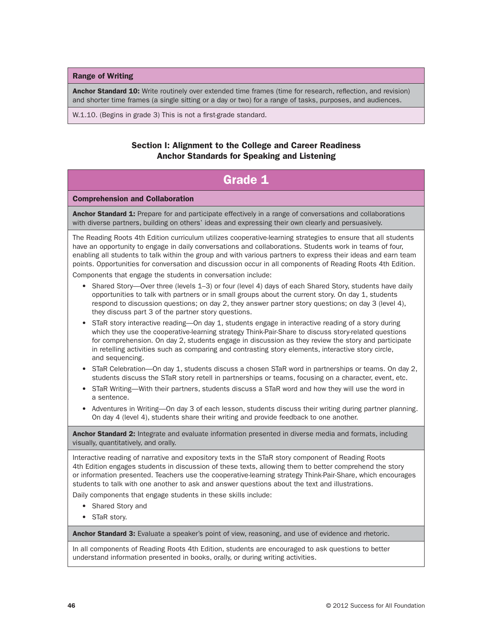Range of Writing

Anchor Standard 10: Write routinely over extended time frames (time for research, reflection, and revision) and shorter time frames (a single sitting or a day or two) for a range of tasks, purposes, and audiences.

W.1.10. (Begins in grade 3) This is not a first-grade standard.

### Section I: Alignment to the College and Career Readiness Anchor Standards for Speaking and Listening

# Grade 1 Comprehension and Collaboration Anchor Standard 1: Prepare for and participate effectively in a range of conversations and collaborations with diverse partners, building on others' ideas and expressing their own clearly and persuasively. The Reading Roots 4th Edition curriculum utilizes cooperative-learning strategies to ensure that all students have an opportunity to engage in daily conversations and collaborations. Students work in teams of four, enabling all students to talk within the group and with various partners to express their ideas and earn team points. Opportunities for conversation and discussion occur in all components of Reading Roots 4th Edition. Components that engage the students in conversation include: • Shared Story—Over three (levels 1–3) or four (level 4) days of each Shared Story, students have daily opportunities to talk with partners or in small groups about the current story. On day 1, students respond to discussion questions; on day 2, they answer partner story questions; on day 3 (level 4), they discuss part 3 of the partner story questions. • STaR story interactive reading—On day 1, students engage in interactive reading of a story during which they use the cooperative-learning strategy Think-Pair-Share to discuss story-related questions for comprehension. On day 2, students engage in discussion as they review the story and participate in retelling activities such as comparing and contrasting story elements, interactive story circle, and sequencing. • STaR Celebration—On day 1, students discuss a chosen STaR word in partnerships or teams. On day 2, students discuss the STaR story retell in partnerships or teams, focusing on a character, event, etc. • STaR Writing—With their partners, students discuss a STaR word and how they will use the word in a sentence. • Adventures in Writing—On day 3 of each lesson, students discuss their writing during partner planning. On day 4 (level 4), students share their writing and provide feedback to one another. Anchor Standard 2: Integrate and evaluate information presented in diverse media and formats, including visually, quantitatively, and orally. Interactive reading of narrative and expository texts in the STaR story component of Reading Roots

4th Edition engages students in discussion of these texts, allowing them to better comprehend the story or information presented. Teachers use the cooperative-learning strategy Think-Pair-Share, which encourages students to talk with one another to ask and answer questions about the text and illustrations.

Daily components that engage students in these skills include:

- Shared Story and
- STaR story.

Anchor Standard 3: Evaluate a speaker's point of view, reasoning, and use of evidence and rhetoric.

In all components of Reading Roots 4th Edition, students are encouraged to ask questions to better understand information presented in books, orally, or during writing activities.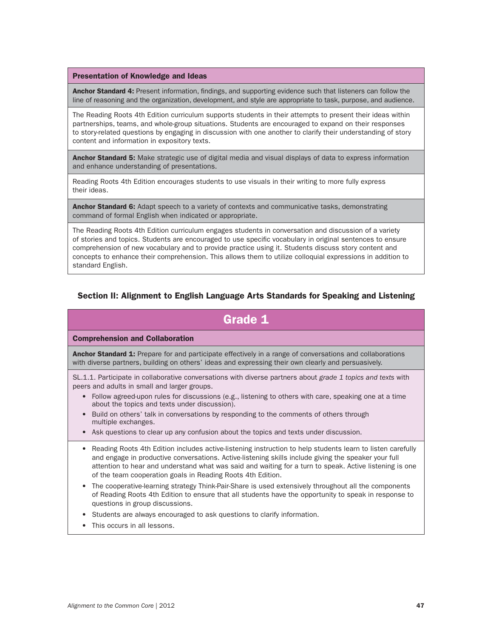#### Presentation of Knowledge and Ideas

Anchor Standard 4: Present information, findings, and supporting evidence such that listeners can follow the line of reasoning and the organization, development, and style are appropriate to task, purpose, and audience.

The Reading Roots 4th Edition curriculum supports students in their attempts to present their ideas within partnerships, teams, and whole-group situations. Students are encouraged to expand on their responses to story-related questions by engaging in discussion with one another to clarify their understanding of story content and information in expository texts.

Anchor Standard 5: Make strategic use of digital media and visual displays of data to express information and enhance understanding of presentations.

Reading Roots 4th Edition encourages students to use visuals in their writing to more fully express their ideas.

Anchor Standard 6: Adapt speech to a variety of contexts and communicative tasks, demonstrating command of formal English when indicated or appropriate.

The Reading Roots 4th Edition curriculum engages students in conversation and discussion of a variety of stories and topics. Students are encouraged to use specific vocabulary in original sentences to ensure comprehension of new vocabulary and to provide practice using it. Students discuss story content and concepts to enhance their comprehension. This allows them to utilize colloquial expressions in addition to standard English.

### Section II: Alignment to English Language Arts Standards for Speaking and Listening

# Grade 1

#### Comprehension and Collaboration

Anchor Standard 1: Prepare for and participate effectively in a range of conversations and collaborations with diverse partners, building on others' ideas and expressing their own clearly and persuasively.

SL.1.1. Participate in collaborative conversations with diverse partners about *grade 1 topics and texts* with peers and adults in small and larger groups.

- Follow agreed-upon rules for discussions (e.g., listening to others with care, speaking one at a time about the topics and texts under discussion).
- Build on others' talk in conversations by responding to the comments of others through multiple exchanges.
- Ask questions to clear up any confusion about the topics and texts under discussion.
- Reading Roots 4th Edition includes active-listening instruction to help students learn to listen carefully and engage in productive conversations. Active-listening skills include giving the speaker your full attention to hear and understand what was said and waiting for a turn to speak. Active listening is one of the team cooperation goals in Reading Roots 4th Edition.
- The cooperative-learning strategy Think-Pair-Share is used extensively throughout all the components of Reading Roots 4th Edition to ensure that all students have the opportunity to speak in response to questions in group discussions.
- Students are always encouraged to ask questions to clarify information.
- This occurs in all lessons.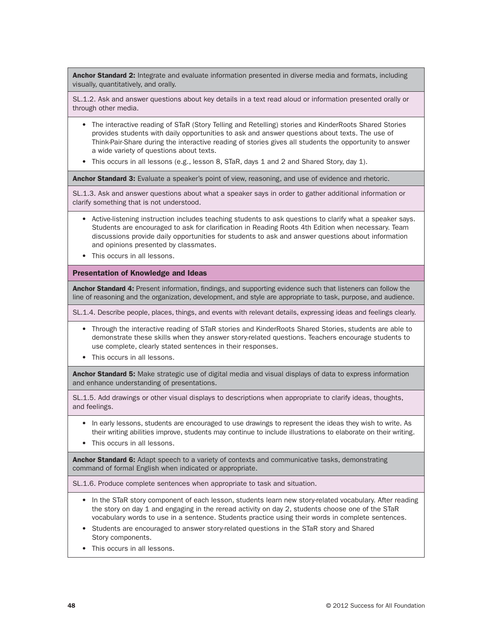Anchor Standard 2: Integrate and evaluate information presented in diverse media and formats, including visually, quantitatively, and orally.

SL.1.2. Ask and answer questions about key details in a text read aloud or information presented orally or through other media.

- The interactive reading of STaR (Story Telling and Retelling) stories and KinderRoots Shared Stories provides students with daily opportunities to ask and answer questions about texts. The use of Think-Pair-Share during the interactive reading of stories gives all students the opportunity to answer a wide variety of questions about texts.
- This occurs in all lessons (e.g., lesson 8, STaR, days 1 and 2 and Shared Story, day 1).

Anchor Standard 3: Evaluate a speaker's point of view, reasoning, and use of evidence and rhetoric.

SL.1.3. Ask and answer questions about what a speaker says in order to gather additional information or clarify something that is not understood.

- Active-listening instruction includes teaching students to ask questions to clarify what a speaker says. Students are encouraged to ask for clarification in Reading Roots 4th Edition when necessary. Team discussions provide daily opportunities for students to ask and answer questions about information and opinions presented by classmates.
- This occurs in all lessons.

#### Presentation of Knowledge and Ideas

Anchor Standard 4: Present information, findings, and supporting evidence such that listeners can follow the line of reasoning and the organization, development, and style are appropriate to task, purpose, and audience.

SL.1.4. Describe people, places, things, and events with relevant details, expressing ideas and feelings clearly.

- Through the interactive reading of STaR stories and KinderRoots Shared Stories, students are able to demonstrate these skills when they answer story-related questions. Teachers encourage students to use complete, clearly stated sentences in their responses.
- This occurs in all lessons.

Anchor Standard 5: Make strategic use of digital media and visual displays of data to express information and enhance understanding of presentations.

SL.1.5. Add drawings or other visual displays to descriptions when appropriate to clarify ideas, thoughts, and feelings.

- In early lessons, students are encouraged to use drawings to represent the ideas they wish to write. As their writing abilities improve, students may continue to include illustrations to elaborate on their writing.
- This occurs in all lessons.

Anchor Standard 6: Adapt speech to a variety of contexts and communicative tasks, demonstrating command of formal English when indicated or appropriate.

SL.1.6. Produce complete sentences when appropriate to task and situation.

- In the STaR story component of each lesson, students learn new story-related vocabulary. After reading the story on day 1 and engaging in the reread activity on day 2, students choose one of the STaR vocabulary words to use in a sentence. Students practice using their words in complete sentences.
- Students are encouraged to answer story-related questions in the STaR story and Shared Story components.
- This occurs in all lessons.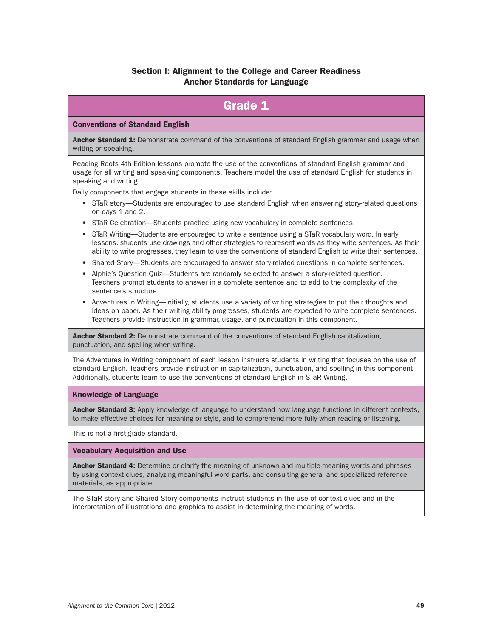# Section I: Alignment to the College and Career Readiness Anchor Standards for Language

# Grade 1

#### Conventions of Standard English

Anchor Standard 1: Demonstrate command of the conventions of standard English grammar and usage when writing or speaking.

Reading Roots 4th Edition lessons promote the use of the conventions of standard English grammar and usage for all writing and speaking components. Teachers model the use of standard English for students in speaking and writing.

Daily components that engage students in these skills include:

- STaR story—Students are encouraged to use standard English when answering story-related questions on days 1 and 2.
- STaR Celebration—Students practice using new vocabulary in complete sentences.
- STaR Writing—Students are encouraged to write a sentence using a STaR vocabulary word. In early lessons, students use drawings and other strategies to represent words as they write sentences. As their ability to write progresses, they learn to use the conventions of standard English to write their sentences.
- Shared Story—Students are encouraged to answer story-related questions in complete sentences.
- Alphie's Question Quiz—Students are randomly selected to answer a story-related question. Teachers prompt students to answer in a complete sentence and to add to the complexity of the sentence's structure.
- Adventures in Writing—Initially, students use a variety of writing strategies to put their thoughts and ideas on paper. As their writing ability progresses, students are expected to write complete sentences. Teachers provide instruction in grammar, usage, and punctuation in this component.

Anchor Standard 2: Demonstrate command of the conventions of standard English capitalization, punctuation, and spelling when writing.

The Adventures in Writing component of each lesson instructs students in writing that focuses on the use of standard English. Teachers provide instruction in capitalization, punctuation, and spelling in this component. Additionally, students learn to use the conventions of standard English in STaR Writing.

#### Knowledge of Language

**Anchor Standard 3:** Apply knowledge of language to understand how language functions in different contexts, to make effective choices for meaning or style, and to comprehend more fully when reading or listening.

This is not a first-grade standard.

#### Vocabulary Acquisition and Use

Anchor Standard 4: Determine or clarify the meaning of unknown and multiple-meaning words and phrases by using context clues, analyzing meaningful word parts, and consulting general and specialized reference materials, as appropriate.

The STaR story and Shared Story components instruct students in the use of context clues and in the interpretation of illustrations and graphics to assist in determining the meaning of words.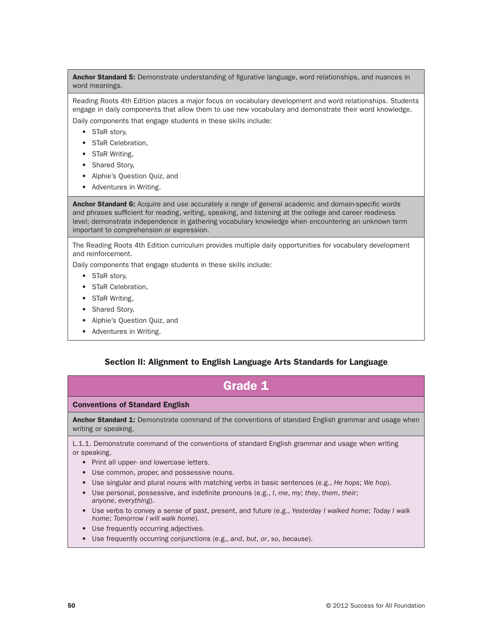Anchor Standard 5: Demonstrate understanding of figurative language, word relationships, and nuances in word meanings.

Reading Roots 4th Edition places a major focus on vocabulary development and word relationships. Students engage in daily components that allow them to use new vocabulary and demonstrate their word knowledge. Daily components that engage students in these skills include:

- STaR story,
- STaR Celebration,
- STaR Writing,
- Shared Story,
- Alphie's Question Quiz, and
- Adventures in Writing.

Anchor Standard 6: Acquire and use accurately a range of general academic and domain-specific words and phrases sufficient for reading, writing, speaking, and listening at the college and career readiness level; demonstrate independence in gathering vocabulary knowledge when encountering an unknown term important to comprehension or expression.

The Reading Roots 4th Edition curriculum provides multiple daily opportunities for vocabulary development and reinforcement.

Daily components that engage students in these skills include:

- STaR story,
- STaR Celebration,
- STaR Writing,
- Shared Story,
- Alphie's Question Quiz, and
- Adventures in Writing.

### Section II: Alignment to English Language Arts Standards for Language

| <b>Grade 1</b>                                                                                                                                                                                                                                                                                                                                                                                                                                                                                                                                                                             |
|--------------------------------------------------------------------------------------------------------------------------------------------------------------------------------------------------------------------------------------------------------------------------------------------------------------------------------------------------------------------------------------------------------------------------------------------------------------------------------------------------------------------------------------------------------------------------------------------|
| <b>Conventions of Standard English</b>                                                                                                                                                                                                                                                                                                                                                                                                                                                                                                                                                     |
| <b>Anchor Standard 1:</b> Demonstrate command of the conventions of standard English grammar and usage when<br>writing or speaking.                                                                                                                                                                                                                                                                                                                                                                                                                                                        |
| L.1.1. Demonstrate command of the conventions of standard English grammar and usage when writing<br>or speaking.<br>• Print all upper- and lowercase letters.<br>Use common, proper, and possessive nouns.<br>Use singular and plural nouns with matching verbs in basic sentences (e.g., He hops; We hop).<br>$\bullet$<br>Use personal, possessive, and indefinite pronouns (e.g., I, me, my; they, them, their;<br>anyone, everything).<br>• Use verbs to convey a sense of past, present, and future (e.g., Yesterday I walked home; Today I walk<br>home; Tomorrow I will walk home). |
| Use frequently occurring adjectives.                                                                                                                                                                                                                                                                                                                                                                                                                                                                                                                                                       |

• Use frequently occurring conjunctions (e.g.*, and*, *but*, *or*, *so*, *because*).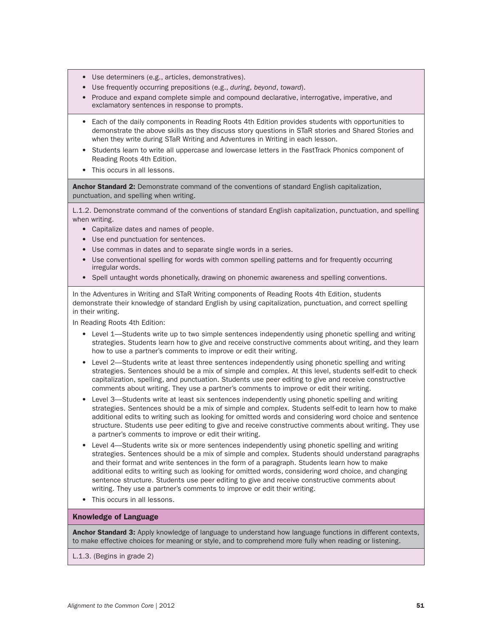- Use determiners (e.g., articles, demonstratives).
- Use frequently occurring prepositions (e.g., *during*, *beyond*, *toward*).
- Produce and expand complete simple and compound declarative, interrogative, imperative, and exclamatory sentences in response to prompts.
- Each of the daily components in Reading Roots 4th Edition provides students with opportunities to demonstrate the above skills as they discuss story questions in STaR stories and Shared Stories and when they write during STaR Writing and Adventures in Writing in each lesson.
- Students learn to write all uppercase and lowercase letters in the FastTrack Phonics component of Reading Roots 4th Edition.
- This occurs in all lessons.

Anchor Standard 2: Demonstrate command of the conventions of standard English capitalization, punctuation, and spelling when writing.

L.1.2. Demonstrate command of the conventions of standard English capitalization, punctuation, and spelling when writing.

- Capitalize dates and names of people.
- Use end punctuation for sentences.
- Use commas in dates and to separate single words in a series.
- Use conventional spelling for words with common spelling patterns and for frequently occurring irregular words.
- Spell untaught words phonetically, drawing on phonemic awareness and spelling conventions.

In the Adventures in Writing and STaR Writing components of Reading Roots 4th Edition, students demonstrate their knowledge of standard English by using capitalization, punctuation, and correct spelling in their writing.

In Reading Roots 4th Edition:

- Level 1—Students write up to two simple sentences independently using phonetic spelling and writing strategies. Students learn how to give and receive constructive comments about writing, and they learn how to use a partner's comments to improve or edit their writing.
- Level 2—Students write at least three sentences independently using phonetic spelling and writing strategies. Sentences should be a mix of simple and complex. At this level, students self-edit to check capitalization, spelling, and punctuation. Students use peer editing to give and receive constructive comments about writing. They use a partner's comments to improve or edit their writing.
- Level 3—Students write at least six sentences independently using phonetic spelling and writing strategies. Sentences should be a mix of simple and complex. Students self-edit to learn how to make additional edits to writing such as looking for omitted words and considering word choice and sentence structure. Students use peer editing to give and receive constructive comments about writing. They use a partner's comments to improve or edit their writing.
- Level 4—Students write six or more sentences independently using phonetic spelling and writing strategies. Sentences should be a mix of simple and complex. Students should understand paragraphs and their format and write sentences in the form of a paragraph. Students learn how to make additional edits to writing such as looking for omitted words, considering word choice, and changing sentence structure. Students use peer editing to give and receive constructive comments about writing. They use a partner's comments to improve or edit their writing.
- This occurs in all lessons.

#### Knowledge of Language

**Anchor Standard 3:** Apply knowledge of language to understand how language functions in different contexts, to make effective choices for meaning or style, and to comprehend more fully when reading or listening.

L.1.3. (Begins in grade 2)